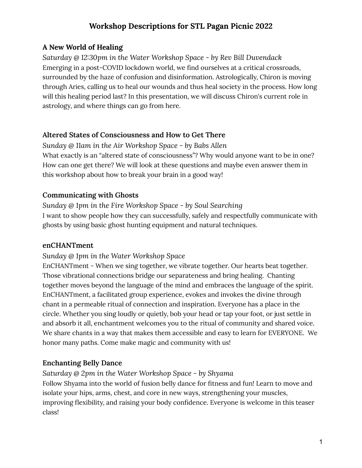### **A New World of Healing**

*Saturday @ 12:30pm in the Water Workshop Space - by Rev Bill Duvendack* Emerging in a post-COVID lockdown world, we find ourselves at a critical crossroads, surrounded by the haze of confusion and disinformation. Astrologically, Chiron is moving through Aries, calling us to heal our wounds and thus heal society in the process. How long will this healing period last? In this presentation, we will discuss Chiron's current role in astrology, and where things can go from here.

## **Altered States of Consciousness and How to Get There**

*Sunday @ 11am in the Air Workshop Space - by Babs Allen* What exactly is an "altered state of consciousness"? Why would anyone want to be in one? How can one get there? We will look at these questions and maybe even answer them in this workshop about how to break your brain in a good way!

## **Communicating with Ghosts**

*Sunday @ 1pm in the Fire Workshop Space - by Soul Searching* I want to show people how they can successfully, safely and respectfully communicate with ghosts by using basic ghost hunting equipment and natural techniques.

### **enCHANTment**

*Sunday @ 1pm in the Water Workshop Space*

EnCHANTment - When we sing together, we vibrate together. Our hearts beat together. Those vibrational connections bridge our separateness and bring healing. Chanting together moves beyond the language of the mind and embraces the language of the spirit. EnCHANTment, a facilitated group experience, evokes and invokes the divine through chant in a permeable ritual of connection and inspiration. Everyone has a place in the circle. Whether you sing loudly or quietly, bob your head or tap your foot, or just settle in and absorb it all, enchantment welcomes you to the ritual of community and shared voice. We share chants in a way that makes them accessible and easy to learn for EVERYONE. We honor many paths. Come make magic and community with us!

## **Enchanting Belly Dance**

*Saturday @ 2pm in the Water Workshop Space - by Shyama*

Follow Shyama into the world of fusion belly dance for fitness and fun! Learn to move and isolate your hips, arms, chest, and core in new ways, strengthening your muscles, improving flexibility, and raising your body confidence. Everyone is welcome in this teaser class!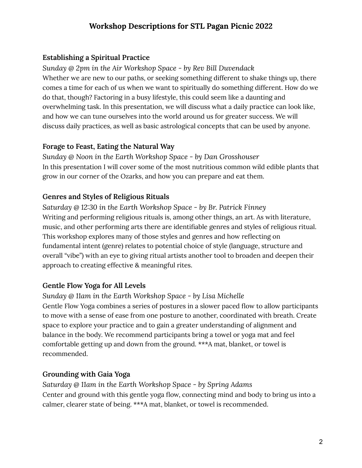#### **Establishing a Spiritual Practice**

*Sunday @ 2pm in the Air Workshop Space - by Rev Bill Duvendack* Whether we are new to our paths, or seeking something different to shake things up, there comes a time for each of us when we want to spiritually do something different. How do we do that, though? Factoring in a busy lifestyle, this could seem like a daunting and overwhelming task. In this presentation, we will discuss what a daily practice can look like, and how we can tune ourselves into the world around us for greater success. We will discuss daily practices, as well as basic astrological concepts that can be used by anyone.

#### **Forage to Feast, Eating the Natural Way**

*Sunday @ Noon in the Earth Workshop Space - by Dan Grosshouser* In this presentation I will cover some of the most nutritious common wild edible plants that grow in our corner of the Ozarks, and how you can prepare and eat them.

#### **Genres and Styles of Religious Rituals**

*Saturday @ 12:30 in the Earth Workshop Space - by Br. Patrick Finney* Writing and performing religious rituals is, among other things, an art. As with literature, music, and other performing arts there are identifiable genres and styles of religious ritual. This workshop explores many of those styles and genres and how reflecting on fundamental intent (genre) relates to potential choice of style (language, structure and overall "vibe") with an eye to giving ritual artists another tool to broaden and deepen their approach to creating effective & meaningful rites.

#### **Gentle Flow Yoga for All Levels**

*Sunday @ 11am in the Earth Workshop Space - by Lisa Michelle* Gentle Flow Yoga combines a series of postures in a slower paced flow to allow participants to move with a sense of ease from one posture to another, coordinated with breath. Create space to explore your practice and to gain a greater understanding of alignment and balance in the body. We recommend participants bring a towel or yoga mat and feel comfortable getting up and down from the ground. \*\*\*A mat, blanket, or towel is recommended.

#### **Grounding with Gaia Yoga**

*Saturday @ 11am in the Earth Workshop Space - by Spring Adams* Center and ground with this gentle yoga flow, connecting mind and body to bring us into a calmer, clearer state of being. \*\*\*A mat, blanket, or towel is recommended.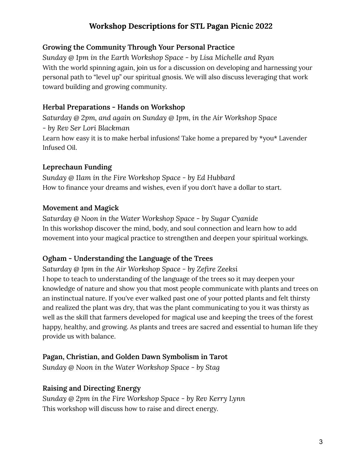#### **Growing the Community Through Your Personal Practice**

*Sunday @ 1pm in the Earth Workshop Space - by Lisa Michelle and Ryan* With the world spinning again, join us for a discussion on developing and harnessing your personal path to "level up" our spiritual gnosis. We will also discuss leveraging that work toward building and growing community.

#### **Herbal Preparations - Hands on Workshop**

*Saturday @ 2pm, and again on Sunday @ 1pm, in the Air Workshop Space - by Rev Ser Lori Blackman* Learn how easy it is to make herbal infusions! Take home a prepared by \*you\* Lavender Infused Oil.

### **Leprechaun Funding**

*Sunday @ 11am in the Fire Workshop Space - by Ed Hubbard* How to finance your dreams and wishes, even if you don't have a dollar to start.

### **Movement and Magick**

*Saturday @ Noon in the Water Workshop Space - by Sugar Cyanide* In this workshop discover the mind, body, and soul connection and learn how to add movement into your magical practice to strengthen and deepen your spiritual workings.

## **Ogham - Understanding the Language of the Trees**

*Saturday @ 1pm in the Air Workshop Space - by Zefire Zeeksi* I hope to teach to understanding of the language of the trees so it may deepen your knowledge of nature and show you that most people communicate with plants and trees on an instinctual nature. If you've ever walked past one of your potted plants and felt thirsty and realized the plant was dry, that was the plant communicating to you it was thirsty as well as the skill that farmers developed for magical use and keeping the trees of the forest happy, healthy, and growing. As plants and trees are sacred and essential to human life they provide us with balance.

## **Pagan, Christian, and Golden Dawn Symbolism in Tarot**

*Sunday @ Noon in the Water Workshop Space - by Stag*

### **Raising and Directing Energy**

*Sunday @ 2pm in the Fire Workshop Space - by Rev Kerry Lynn* This workshop will discuss how to raise and direct energy.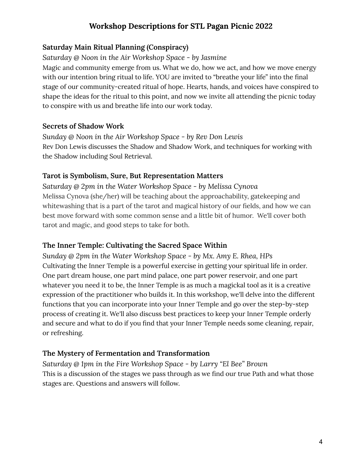## **Saturday Main Ritual Planning (Conspiracy)**

*Saturday @ Noon in the Air Workshop Space - by Jasmine*

Magic and community emerge from us. What we do, how we act, and how we move energy with our intention bring ritual to life. YOU are invited to "breathe your life" into the final stage of our community-created ritual of hope. Hearts, hands, and voices have conspired to shape the ideas for the ritual to this point, and now we invite all attending the picnic today to conspire with us and breathe life into our work today.

### **Secrets of Shadow Work**

*Sunday @ Noon in the Air Workshop Space - by Rev Don Lewis* Rev Don Lewis discusses the Shadow and Shadow Work, and techniques for working with the Shadow including Soul Retrieval.

### **Tarot is Symbolism, Sure, But Representation Matters**

*Saturday @ 2pm in the Water Workshop Space - by Melissa Cynova* Melissa Cynova (she/her) will be teaching about the approachability, gatekeeping and whitewashing that is a part of the tarot and magical history of our fields, and how we can best move forward with some common sense and a little bit of humor. We'll cover both tarot and magic, and good steps to take for both.

### **The Inner Temple: Cultivating the Sacred Space Within**

*Sunday @ 2pm in the Water Workshop Space - by Mx. Amy E. Rhea, HPs* Cultivating the Inner Temple is a powerful exercise in getting your spiritual life in order. One part dream house, one part mind palace, one part power reservoir, and one part whatever you need it to be, the Inner Temple is as much a magickal tool as it is a creative expression of the practitioner who builds it. In this workshop, we'll delve into the different functions that you can incorporate into your Inner Temple and go over the step-by-step process of creating it. We'll also discuss best practices to keep your Inner Temple orderly and secure and what to do if you find that your Inner Temple needs some cleaning, repair, or refreshing.

### **The Mystery of Fermentation and Transformation**

*Saturday @ 1pm in the Fire Workshop Space - by Larry "El Bee" Brown* This is a discussion of the stages we pass through as we find our true Path and what those stages are. Questions and answers will follow.